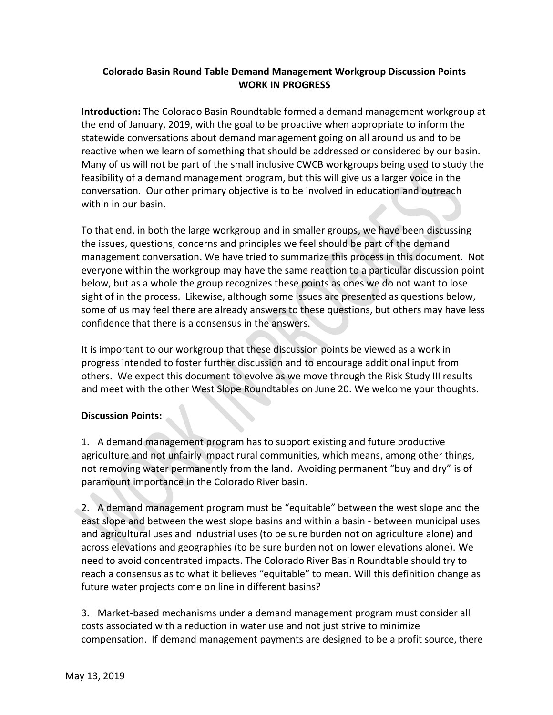## **Colorado Basin Round Table Demand Management Workgroup Discussion Points WORK IN PROGRESS**

**Introduction:** The Colorado Basin Roundtable formed a demand management workgroup at the end of January, 2019, with the goal to be proactive when appropriate to inform the statewide conversations about demand management going on all around us and to be reactive when we learn of something that should be addressed or considered by our basin. Many of us will not be part of the small inclusive CWCB workgroups being used to study the feasibility of a demand management program, but this will give us a larger voice in the conversation. Our other primary objective is to be involved in education and outreach within in our basin.

To that end, in both the large workgroup and in smaller groups, we have been discussing the issues, questions, concerns and principles we feel should be part of the demand management conversation. We have tried to summarize this process in this document. Not everyone within the workgroup may have the same reaction to a particular discussion point below, but as a whole the group recognizes these points as ones we do not want to lose sight of in the process. Likewise, although some issues are presented as questions below, some of us may feel there are already answers to these questions, but others may have less confidence that there is a consensus in the answers.

It is important to our workgroup that these discussion points be viewed as a work in progress intended to foster further discussion and to encourage additional input from others. We expect this document to evolve as we move through the Risk Study III results and meet with the other West Slope Roundtables on June 20. We welcome your thoughts.

## **Discussion Points:**

1. A demand management program has to support existing and future productive agriculture and not unfairly impact rural communities, which means, among other things, not removing water permanently from the land. Avoiding permanent "buy and dry" is of paramount importance in the Colorado River basin.

2. A demand management program must be "equitable" between the west slope and the east slope and between the west slope basins and within a basin - between municipal uses and agricultural uses and industrial uses (to be sure burden not on agriculture alone) and across elevations and geographies (to be sure burden not on lower elevations alone). We need to avoid concentrated impacts. The Colorado River Basin Roundtable should try to reach a consensus as to what it believes "equitable" to mean. Will this definition change as future water projects come on line in different basins?

3. Market-based mechanisms under a demand management program must consider all costs associated with a reduction in water use and not just strive to minimize compensation. If demand management payments are designed to be a profit source, there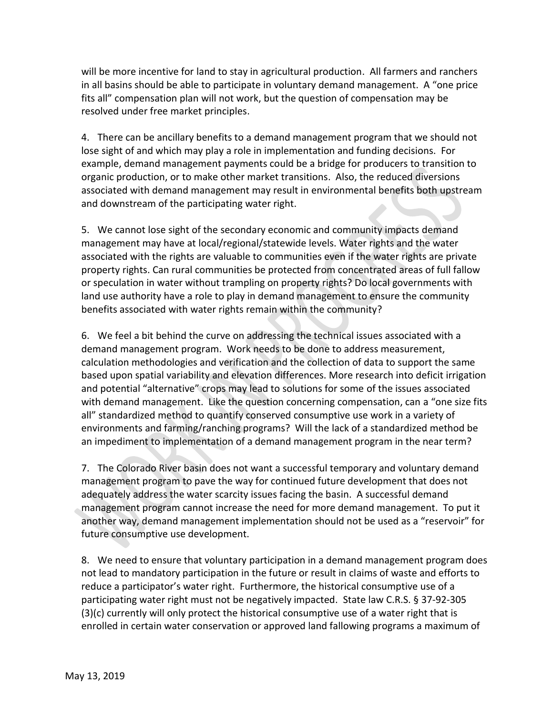will be more incentive for land to stay in agricultural production. All farmers and ranchers in all basins should be able to participate in voluntary demand management. A "one price fits all" compensation plan will not work, but the question of compensation may be resolved under free market principles.

4. There can be ancillary benefits to a demand management program that we should not lose sight of and which may play a role in implementation and funding decisions. For example, demand management payments could be a bridge for producers to transition to organic production, or to make other market transitions. Also, the reduced diversions associated with demand management may result in environmental benefits both upstream and downstream of the participating water right.

5. We cannot lose sight of the secondary economic and community impacts demand management may have at local/regional/statewide levels. Water rights and the water associated with the rights are valuable to communities even if the water rights are private property rights. Can rural communities be protected from concentrated areas of full fallow or speculation in water without trampling on property rights? Do local governments with land use authority have a role to play in demand management to ensure the community benefits associated with water rights remain within the community?

6. We feel a bit behind the curve on addressing the technical issues associated with a demand management program. Work needs to be done to address measurement, calculation methodologies and verification and the collection of data to support the same based upon spatial variability and elevation differences. More research into deficit irrigation and potential "alternative" crops may lead to solutions for some of the issues associated with demand management. Like the question concerning compensation, can a "one size fits all" standardized method to quantify conserved consumptive use work in a variety of environments and farming/ranching programs? Will the lack of a standardized method be an impediment to implementation of a demand management program in the near term?

7. The Colorado River basin does not want a successful temporary and voluntary demand management program to pave the way for continued future development that does not adequately address the water scarcity issues facing the basin. A successful demand management program cannot increase the need for more demand management. To put it another way, demand management implementation should not be used as a "reservoir" for future consumptive use development.

8. We need to ensure that voluntary participation in a demand management program does not lead to mandatory participation in the future or result in claims of waste and efforts to reduce a participator's water right. Furthermore, the historical consumptive use of a participating water right must not be negatively impacted. State law C.R.S. § 37-92-305 (3)(c) currently will only protect the historical consumptive use of a water right that is enrolled in certain water conservation or approved land fallowing programs a maximum of